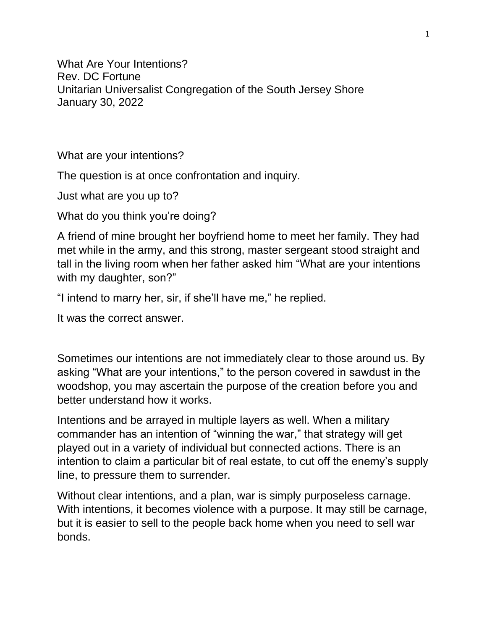What Are Your Intentions? Rev. DC Fortune Unitarian Universalist Congregation of the South Jersey Shore January 30, 2022

What are your intentions?

The question is at once confrontation and inquiry.

Just what are you up to?

What do you think you're doing?

A friend of mine brought her boyfriend home to meet her family. They had met while in the army, and this strong, master sergeant stood straight and tall in the living room when her father asked him "What are your intentions with my daughter, son?"

"I intend to marry her, sir, if she'll have me," he replied.

It was the correct answer.

Sometimes our intentions are not immediately clear to those around us. By asking "What are your intentions," to the person covered in sawdust in the woodshop, you may ascertain the purpose of the creation before you and better understand how it works.

Intentions and be arrayed in multiple layers as well. When a military commander has an intention of "winning the war," that strategy will get played out in a variety of individual but connected actions. There is an intention to claim a particular bit of real estate, to cut off the enemy's supply line, to pressure them to surrender.

Without clear intentions, and a plan, war is simply purposeless carnage. With intentions, it becomes violence with a purpose. It may still be carnage, but it is easier to sell to the people back home when you need to sell war bonds.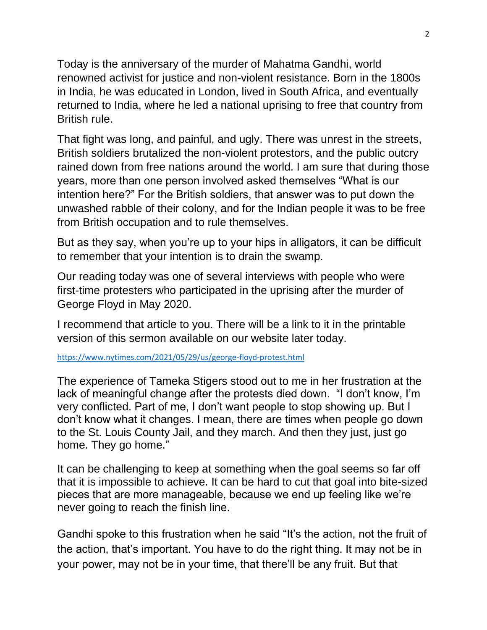Today is the anniversary of the murder of Mahatma Gandhi, world renowned activist for justice and non-violent resistance. Born in the 1800s in India, he was educated in London, lived in South Africa, and eventually returned to India, where he led a national uprising to free that country from British rule.

That fight was long, and painful, and ugly. There was unrest in the streets, British soldiers brutalized the non-violent protestors, and the public outcry rained down from free nations around the world. I am sure that during those years, more than one person involved asked themselves "What is our intention here?" For the British soldiers, that answer was to put down the unwashed rabble of their colony, and for the Indian people it was to be free from British occupation and to rule themselves.

But as they say, when you're up to your hips in alligators, it can be difficult to remember that your intention is to drain the swamp.

Our reading today was one of several interviews with people who were first-time protesters who participated in the uprising after the murder of George Floyd in May 2020.

I recommend that article to you. There will be a link to it in the printable version of this sermon available on our website later today.

<https://www.nytimes.com/2021/05/29/us/george-floyd-protest.html>

The experience of Tameka Stigers stood out to me in her frustration at the lack of meaningful change after the protests died down. "I don't know, I'm very conflicted. Part of me, I don't want people to stop showing up. But I don't know what it changes. I mean, there are times when people go down to the St. Louis County Jail, and they march. And then they just, just go home. They go home."

It can be challenging to keep at something when the goal seems so far off that it is impossible to achieve. It can be hard to cut that goal into bite-sized pieces that are more manageable, because we end up feeling like we're never going to reach the finish line.

Gandhi spoke to this frustration when he said "It's the action, not the fruit of the action, that's important. You have to do the right thing. It may not be in your power, may not be in your time, that there'll be any fruit. But that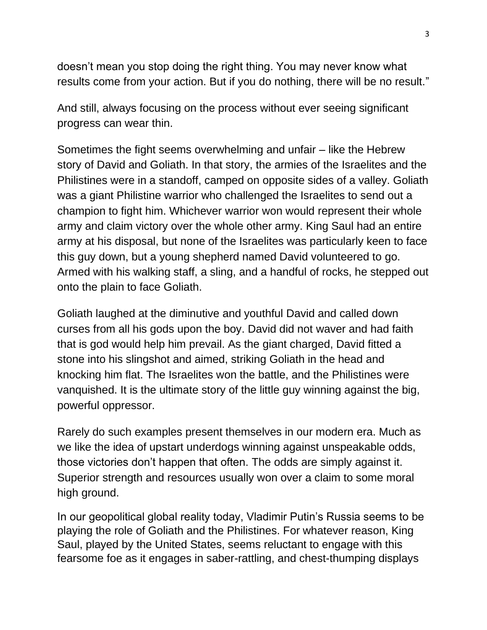doesn't mean you stop doing the right thing. You may never know what results come from your action. But if you do nothing, there will be no result."

And still, always focusing on the process without ever seeing significant progress can wear thin.

Sometimes the fight seems overwhelming and unfair – like the Hebrew story of David and Goliath. In that story, the armies of the Israelites and the Philistines were in a standoff, camped on opposite sides of a valley. Goliath was a giant Philistine warrior who challenged the Israelites to send out a champion to fight him. Whichever warrior won would represent their whole army and claim victory over the whole other army. King Saul had an entire army at his disposal, but none of the Israelites was particularly keen to face this guy down, but a young shepherd named David volunteered to go. Armed with his walking staff, a sling, and a handful of rocks, he stepped out onto the plain to face Goliath.

Goliath laughed at the diminutive and youthful David and called down curses from all his gods upon the boy. David did not waver and had faith that is god would help him prevail. As the giant charged, David fitted a stone into his slingshot and aimed, striking Goliath in the head and knocking him flat. The Israelites won the battle, and the Philistines were vanquished. It is the ultimate story of the little guy winning against the big, powerful oppressor.

Rarely do such examples present themselves in our modern era. Much as we like the idea of upstart underdogs winning against unspeakable odds, those victories don't happen that often. The odds are simply against it. Superior strength and resources usually won over a claim to some moral high ground.

In our geopolitical global reality today, Vladimir Putin's Russia seems to be playing the role of Goliath and the Philistines. For whatever reason, King Saul, played by the United States, seems reluctant to engage with this fearsome foe as it engages in saber-rattling, and chest-thumping displays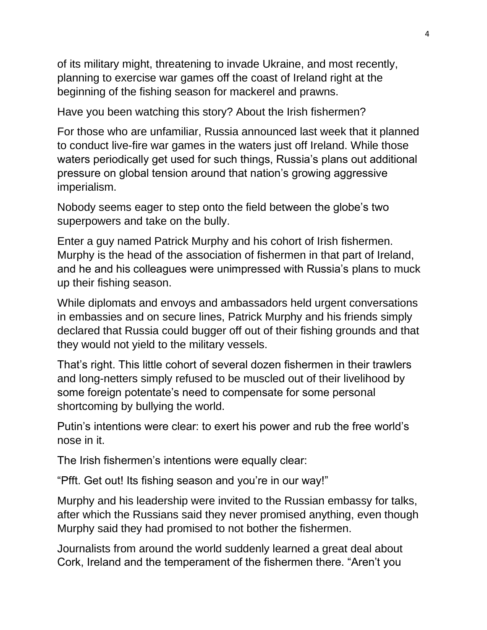of its military might, threatening to invade Ukraine, and most recently, planning to exercise war games off the coast of Ireland right at the beginning of the fishing season for mackerel and prawns.

Have you been watching this story? About the Irish fishermen?

For those who are unfamiliar, Russia announced last week that it planned to conduct live-fire war games in the waters just off Ireland. While those waters periodically get used for such things, Russia's plans out additional pressure on global tension around that nation's growing aggressive imperialism.

Nobody seems eager to step onto the field between the globe's two superpowers and take on the bully.

Enter a guy named Patrick Murphy and his cohort of Irish fishermen. Murphy is the head of the association of fishermen in that part of Ireland, and he and his colleagues were unimpressed with Russia's plans to muck up their fishing season.

While diplomats and envoys and ambassadors held urgent conversations in embassies and on secure lines, Patrick Murphy and his friends simply declared that Russia could bugger off out of their fishing grounds and that they would not yield to the military vessels.

That's right. This little cohort of several dozen fishermen in their trawlers and long-netters simply refused to be muscled out of their livelihood by some foreign potentate's need to compensate for some personal shortcoming by bullying the world.

Putin's intentions were clear: to exert his power and rub the free world's nose in it.

The Irish fishermen's intentions were equally clear:

"Pfft. Get out! Its fishing season and you're in our way!"

Murphy and his leadership were invited to the Russian embassy for talks, after which the Russians said they never promised anything, even though Murphy said they had promised to not bother the fishermen.

Journalists from around the world suddenly learned a great deal about Cork, Ireland and the temperament of the fishermen there. "Aren't you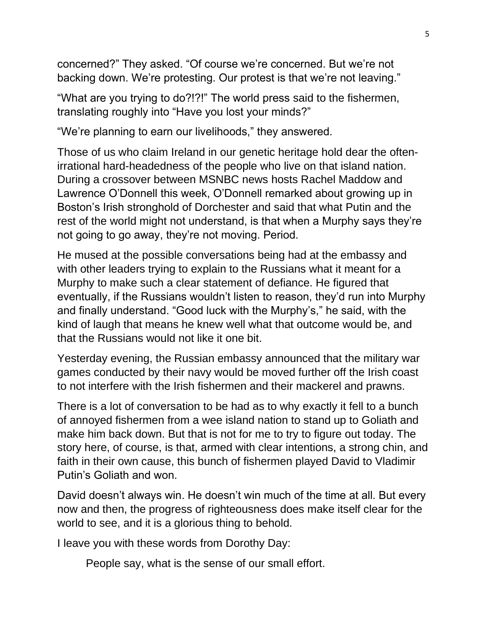concerned?" They asked. "Of course we're concerned. But we're not backing down. We're protesting. Our protest is that we're not leaving."

"What are you trying to do?!?!" The world press said to the fishermen, translating roughly into "Have you lost your minds?"

"We're planning to earn our livelihoods," they answered.

Those of us who claim Ireland in our genetic heritage hold dear the oftenirrational hard-headedness of the people who live on that island nation. During a crossover between MSNBC news hosts Rachel Maddow and Lawrence O'Donnell this week, O'Donnell remarked about growing up in Boston's Irish stronghold of Dorchester and said that what Putin and the rest of the world might not understand, is that when a Murphy says they're not going to go away, they're not moving. Period.

He mused at the possible conversations being had at the embassy and with other leaders trying to explain to the Russians what it meant for a Murphy to make such a clear statement of defiance. He figured that eventually, if the Russians wouldn't listen to reason, they'd run into Murphy and finally understand. "Good luck with the Murphy's," he said, with the kind of laugh that means he knew well what that outcome would be, and that the Russians would not like it one bit.

Yesterday evening, the Russian embassy announced that the military war games conducted by their navy would be moved further off the Irish coast to not interfere with the Irish fishermen and their mackerel and prawns.

There is a lot of conversation to be had as to why exactly it fell to a bunch of annoyed fishermen from a wee island nation to stand up to Goliath and make him back down. But that is not for me to try to figure out today. The story here, of course, is that, armed with clear intentions, a strong chin, and faith in their own cause, this bunch of fishermen played David to Vladimir Putin's Goliath and won.

David doesn't always win. He doesn't win much of the time at all. But every now and then, the progress of righteousness does make itself clear for the world to see, and it is a glorious thing to behold.

I leave you with these words from Dorothy Day:

People say, what is the sense of our small effort.